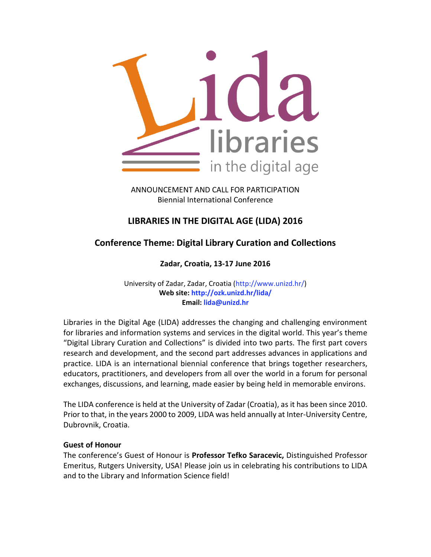

ANNOUNCEMENT AND CALL FOR PARTICIPATION Biennial International Conference

# **LIBRARIES IN THE DIGITAL AGE (LIDA) 2016**

# **Conference Theme: Digital Library Curation and Collections**

**Zadar, Croatia, 13‐17 June 2016**

University of Zadar, Zadar, Croatia (http://www.unizd.hr/) **Web site: http://ozk.unizd.hr/lida/ Email: lida@unizd.hr**

Libraries in the Digital Age (LIDA) addresses the changing and challenging environment for libraries and information systems and services in the digital world. This year's theme "Digital Library Curation and Collections" is divided into two parts. The first part covers research and development, and the second part addresses advances in applications and practice. LIDA is an international biennial conference that brings together researchers, educators, practitioners, and developers from all over the world in a forum for personal exchanges, discussions, and learning, made easier by being held in memorable environs.

The LIDA conference is held at the University of Zadar (Croatia), as it has been since 2010. Prior to that, in the years 2000 to 2009, LIDA was held annually at Inter‐University Centre, Dubrovnik, Croatia.

### **Guest of Honour**

The conference's Guest of Honour is **Professor Tefko Saracevic,** Distinguished Professor Emeritus, Rutgers University, USA! Please join us in celebrating his contributions to LIDA and to the Library and Information Science field!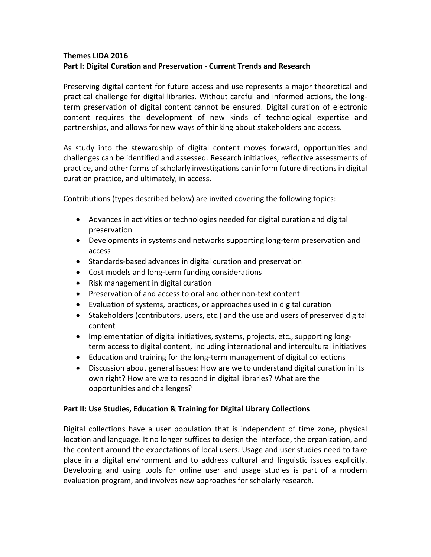## **Themes LIDA 2016 Part I: Digital Curation and Preservation ‐ Current Trends and Research**

Preserving digital content for future access and use represents a major theoretical and practical challenge for digital libraries. Without careful and informed actions, the long‐ term preservation of digital content cannot be ensured. Digital curation of electronic content requires the development of new kinds of technological expertise and partnerships, and allows for new ways of thinking about stakeholders and access.

As study into the stewardship of digital content moves forward, opportunities and challenges can be identified and assessed. Research initiatives, reflective assessments of practice, and other forms of scholarly investigations can inform future directions in digital curation practice, and ultimately, in access.

Contributions (types described below) are invited covering the following topics:

- Advances in activities or technologies needed for digital curation and digital preservation
- Developments in systems and networks supporting long-term preservation and access
- Standards-based advances in digital curation and preservation
- Cost models and long-term funding considerations
- Risk management in digital curation
- Preservation of and access to oral and other non-text content
- Evaluation of systems, practices, or approaches used in digital curation
- Stakeholders (contributors, users, etc.) and the use and users of preserved digital content
- Implementation of digital initiatives, systems, projects, etc., supporting longterm access to digital content, including international and intercultural initiatives
- Education and training for the long-term management of digital collections
- Discussion about general issues: How are we to understand digital curation in its own right? How are we to respond in digital libraries? What are the opportunities and challenges?

### **Part II: Use Studies, Education & Training for Digital Library Collections**

Digital collections have a user population that is independent of time zone, physical location and language. It no longer suffices to design the interface, the organization, and the content around the expectations of local users. Usage and user studies need to take place in a digital environment and to address cultural and linguistic issues explicitly. Developing and using tools for online user and usage studies is part of a modern evaluation program, and involves new approaches for scholarly research.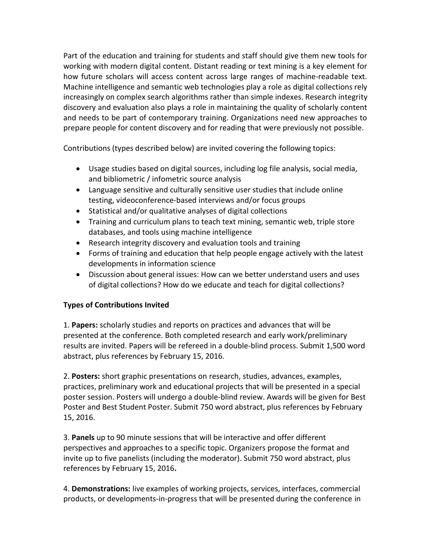Part of the education and training for students and staff should give them new tools for working with modern digital content. Distant reading or text mining is a key element for how future scholars will access content across large ranges of machine‐readable text. Machine intelligence and semantic web technologies play a role as digital collections rely increasingly on complex search algorithms rather than simple indexes. Research integrity discovery and evaluation also plays a role in maintaining the quality of scholarly content and needs to be part of contemporary training. Organizations need new approaches to prepare people for content discovery and for reading that were previously not possible.

Contributions (types described below) are invited covering the following topics:

- Usage studies based on digital sources, including log file analysis, social media, and bibliometric / infometric source analysis
- Language sensitive and culturally sensitive user studies that include online testing, videoconference‐based interviews and/or focus groups
- Statistical and/or qualitative analyses of digital collections
- Training and curriculum plans to teach text mining, semantic web, triple store databases, and tools using machine intelligence
- Research integrity discovery and evaluation tools and training
- Forms of training and education that help people engage actively with the latest developments in information science
- Discussion about general issues: How can we better understand users and uses of digital collections? How do we educate and teach for digital collections?

# **Types of Contributions Invited**

1. **Papers:** scholarly studies and reports on practices and advances that will be presented at the conference. Both completed research and early work/preliminary results are invited. Papers will be refereed in a double‐blind process. Submit 1,500 word abstract, plus references by February 15, 2016.

2. **Posters:** short graphic presentations on research, studies, advances, examples, practices, preliminary work and educational projects that will be presented in a special poster session. Posters will undergo a double‐blind review. Awards will be given for Best Poster and Best Student Poster. Submit 750 word abstract, plus references by February 15, 2016.

3. **Panels** up to 90 minute sessions that will be interactive and offer different perspectives and approaches to a specific topic. Organizers propose the format and invite up to five panelists (including the moderator). Submit 750 word abstract, plus references by February 15, 2016**.** 

4. **Demonstrations:** live examples of working projects, services, interfaces, commercial products, or developments‐in‐progress that will be presented during the conference in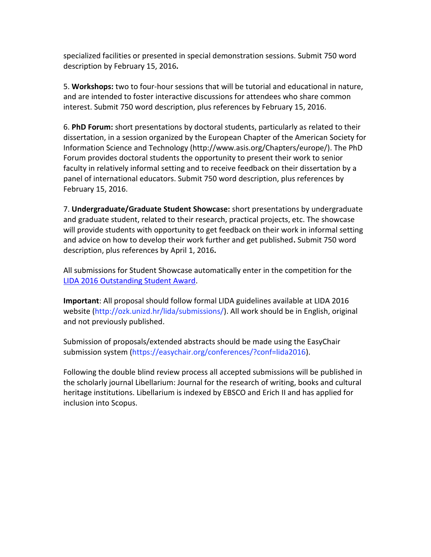specialized facilities or presented in special demonstration sessions. Submit 750 word description by February 15, 2016**.** 

5. **Workshops:** two to four‐hour sessions that will be tutorial and educational in nature, and are intended to foster interactive discussions for attendees who share common interest. Submit 750 word description, plus references by February 15, 2016.

6. **PhD Forum:** short presentations by doctoral students, particularly as related to their dissertation, in a session organized by the European Chapter of the American Society for Information Science and Technology (http://www.asis.org/Chapters/europe/). The PhD Forum provides doctoral students the opportunity to present their work to senior faculty in relatively informal setting and to receive feedback on their dissertation by a panel of international educators. Submit 750 word description, plus references by February 15, 2016.

7. **Undergraduate/Graduate Student Showcase:** short presentations by undergraduate and graduate student, related to their research, practical projects, etc. The showcase will provide students with opportunity to get feedback on their work in informal setting and advice on how to develop their work further and get published**.** Submit 750 word description, plus references by April 1, 2016**.** 

All submissions for Student Showcase automatically enter in the competition for the [LIDA 2016 Outstanding Student Award.](http://ozk.unizd.hr/lida/awards)

**Important**: All proposal should follow formal LIDA guidelines available at LIDA 2016 website (http://ozk.unizd.hr/lida/submissions/). All work should be in English, original and not previously published.

Submission of proposals/extended abstracts should be made using the EasyChair submission system (https://easychair.org/conferences/?conf=lida2016).

Following the double blind review process all accepted submissions will be published in the scholarly journal Libellarium: Journal for the research of writing, books and cultural heritage institutions. Libellarium is indexed by EBSCO and Erich II and has applied for inclusion into Scopus.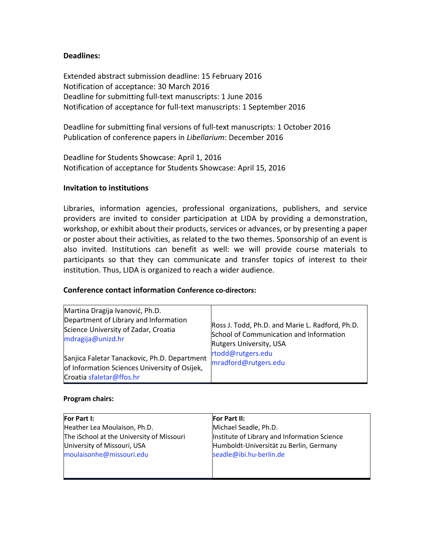### **Deadlines:**

Extended abstract submission deadline: 15 February 2016 Notification of acceptance: 30 March 2016 Deadline for submitting full‐text manuscripts: 1 June 2016 Notification of acceptance for full‐text manuscripts: 1 September 2016

Deadline for submitting final versions of full-text manuscripts: 1 October 2016 Publication of conference papers in *Libellarium*: December 2016

Deadline for Students Showcase: April 1, 2016 Notification of acceptance for Students Showcase: April 15, 2016

### **Invitation to institutions**

Libraries, information agencies, professional organizations, publishers, and service providers are invited to consider participation at LIDA by providing a demonstration, workshop, or exhibit about their products, services or advances, or by presenting a paper or poster about their activities, as related to the two themes. Sponsorship of an event is also invited. Institutions can benefit as well: we will provide course materials to participants so that they can communicate and transfer topics of interest to their institution. Thus, LIDA is organized to reach a wider audience.

### **Conference contact information Conference co‐directors:**

| Martina Dragija Ivanović, Ph.D.<br>Department of Library and Information<br>Science University of Zadar, Croatia<br>mdragija@unizd.hr | Ross J. Todd, Ph.D. and Marie L. Radford, Ph.D.<br>School of Communication and Information<br><b>Rutgers University, USA</b><br>rtodd@rutgers.edu<br>mradford@rutgers.edu |
|---------------------------------------------------------------------------------------------------------------------------------------|---------------------------------------------------------------------------------------------------------------------------------------------------------------------------|
| Sanjica Faletar Tanackovic, Ph.D. Department<br>of Information Sciences University of Osijek,<br>Croatia sfaletar@ffos.hr             |                                                                                                                                                                           |

#### **Program chairs:**

| For Part I:                               | <b>For Part II:</b>                          |
|-------------------------------------------|----------------------------------------------|
| Heather Lea Moulaison, Ph.D.              | Michael Seadle, Ph.D.                        |
| The iSchool at the University of Missouri | Institute of Library and Information Science |
| University of Missouri, USA               | Humboldt-Universität zu Berlin, Germany      |
| moulaisonhe@missouri.edu                  | seadle@ibi.hu-berlin.de                      |
|                                           |                                              |
|                                           |                                              |